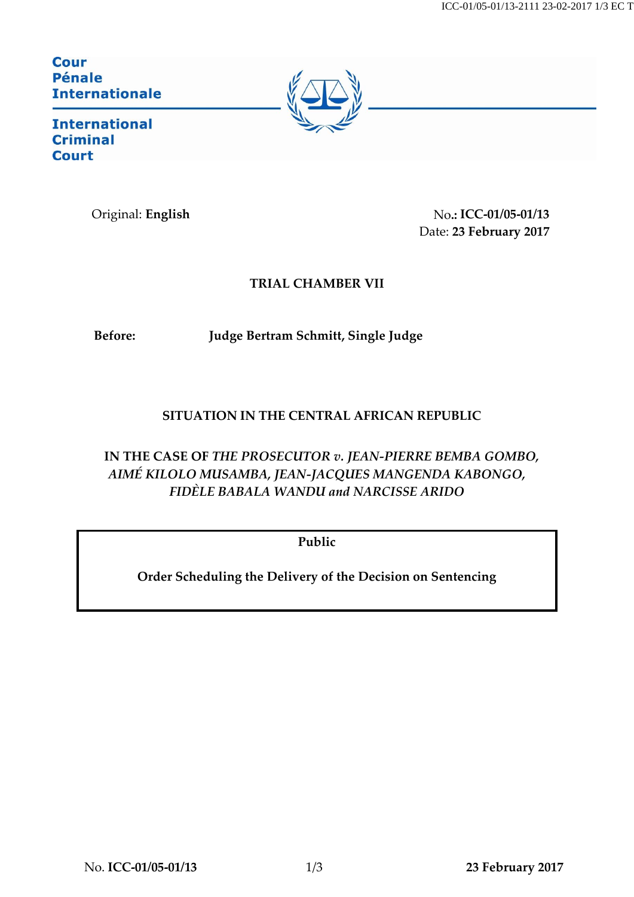ICC-01/05-01/13-2111 23-02-2017 1/3 EC T

**Cour Pénale Internationale** 



**International Criminal Court** 

Original: **English** No**.: ICC-01/05-01/13** Date: **23 February 2017**

## **TRIAL CHAMBER VII**

**Before: Judge Bertram Schmitt, Single Judge**

## **SITUATION IN THE CENTRAL AFRICAN REPUBLIC**

**IN THE CASE OF** *THE PROSECUTOR v. JEAN-PIERRE BEMBA GOMBO, AIMÉ KILOLO MUSAMBA, JEAN-JACQUES MANGENDA KABONGO, FIDÈLE BABALA WANDU and NARCISSE ARIDO*

**Public**

**Order Scheduling the Delivery of the Decision on Sentencing**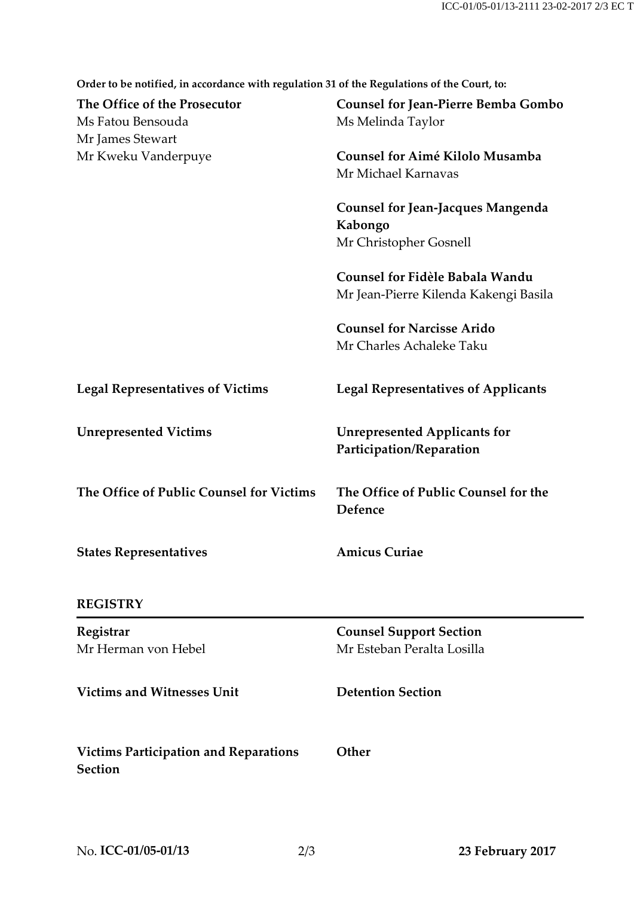**Order to be notified, in accordance with regulation 31 of the Regulations of the Court, to:**

| The Office of the Prosecutor<br>Ms Fatou Bensouda              | <b>Counsel for Jean-Pierre Bemba Gombo</b><br>Ms Melinda Taylor                                                                         |
|----------------------------------------------------------------|-----------------------------------------------------------------------------------------------------------------------------------------|
| Mr James Stewart<br>Mr Kweku Vanderpuye                        | Counsel for Aimé Kilolo Musamba<br>Mr Michael Karnavas<br><b>Counsel for Jean-Jacques Mangenda</b><br>Kabongo<br>Mr Christopher Gosnell |
|                                                                |                                                                                                                                         |
|                                                                | <b>Counsel for Narcisse Arido</b><br>Mr Charles Achaleke Taku                                                                           |
| <b>Legal Representatives of Victims</b>                        | <b>Legal Representatives of Applicants</b>                                                                                              |
| <b>Unrepresented Victims</b>                                   | <b>Unrepresented Applicants for</b><br>Participation/Reparation                                                                         |
| The Office of Public Counsel for Victims                       | The Office of Public Counsel for the<br>Defence                                                                                         |
| <b>States Representatives</b>                                  | <b>Amicus Curiae</b>                                                                                                                    |
| <b>REGISTRY</b>                                                |                                                                                                                                         |
| Registrar<br>Mr Herman von Hebel                               | <b>Counsel Support Section</b><br>Mr Esteban Peralta Losilla                                                                            |
| <b>Victims and Witnesses Unit</b>                              | <b>Detention Section</b>                                                                                                                |
| <b>Victims Participation and Reparations</b><br><b>Section</b> | Other                                                                                                                                   |